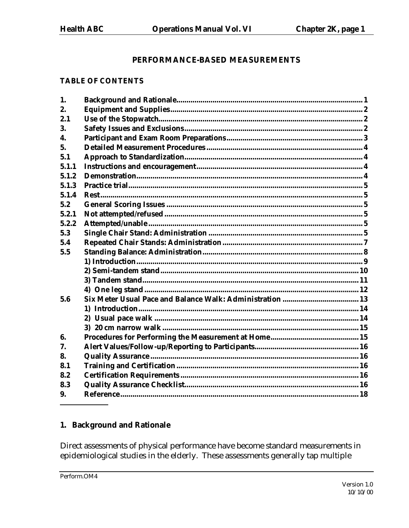## PERFORMANCE-BASED MEASUREMENTS

#### **TABLE OF CONTENTS**

| 1.    |  |
|-------|--|
| 2.    |  |
| 2.1   |  |
| 3.    |  |
| 4.    |  |
| 5.    |  |
| 5.1   |  |
| 5.1.1 |  |
| 5.1.2 |  |
| 5.1.3 |  |
| 5.1.4 |  |
| 5.2   |  |
| 5.2.1 |  |
| 5.2.2 |  |
| 5.3   |  |
| 5.4   |  |
| 5.5   |  |
|       |  |
|       |  |
|       |  |
|       |  |
| 5.6   |  |
|       |  |
|       |  |
|       |  |
| 6.    |  |
| 7.    |  |
| 8.    |  |
| 8.1   |  |
| 8.2   |  |
| 8.3   |  |
| 9.    |  |
|       |  |

## 1. Background and Rationale

Direct assessments of physical performance have become standard measurements in epidemiological studies in the elderly. These assessments generally tap multiple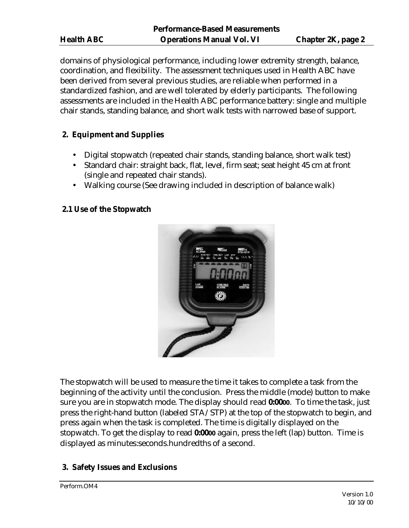domains of physiological performance, including lower extremity strength, balance, coordination, and flexibility. The assessment techniques used in Health ABC have been derived from several previous studies, are reliable when performed in a standardized fashion, and are well tolerated by elderly participants. The following assessments are included in the Health ABC performance battery: single and multiple chair stands, standing balance, and short walk tests with narrowed base of support.

# **2. Equipment and Supplies**

- Digital stopwatch (repeated chair stands, standing balance, short walk test)
- Standard chair: straight back, flat, level, firm seat; seat height 45 cm at front (single and repeated chair stands).
- Walking course (See drawing included in description of balance walk)

## **2.1 Use of the Stopwatch**



The stopwatch will be used to measure the time it takes to complete a task from the beginning of the activity until the conclusion. Press the middle (mode) button to make sure you are in stopwatch mode. The display should read **0:0000**. To time the task, just press the right-hand button (labeled STA/STP) at the top of the stopwatch to begin, and press again when the task is completed. The time is digitally displayed on the stopwatch. To get the display to read **0:0000** again, press the left (lap) button. Time is displayed as minutes:seconds.hundredths of a second.

## **3. Safety Issues and Exclusions**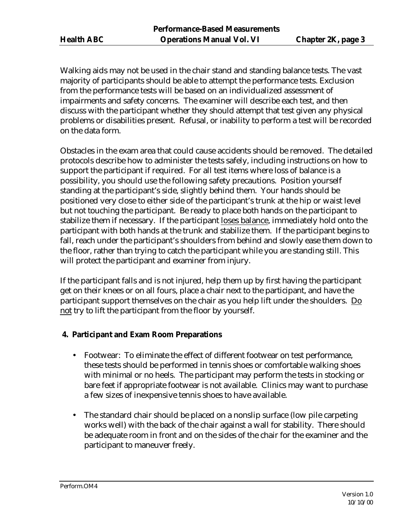Walking aids may not be used in the chair stand and standing balance tests. The vast majority of participants should be able to attempt the performance tests. Exclusion from the performance tests will be based on an individualized assessment of impairments and safety concerns. The examiner will describe each test, and then discuss with the participant whether they should attempt that test given any physical problems or disabilities present. Refusal, or inability to perform a test will be recorded on the data form.

Obstacles in the exam area that could cause accidents should be removed. The detailed protocols describe how to administer the tests safely, including instructions on how to support the participant if required. For all test items where loss of balance is a possibility, you should use the following safety precautions. Position yourself standing at the participant's side, slightly behind them. Your hands should be positioned very close to either side of the participant's trunk at the hip or waist level but not touching the participant. Be ready to place both hands on the participant to stabilize them if necessary. If the participant loses balance, immediately hold onto the participant with both hands at the trunk and stabilize them. If the participant begins to fall, reach under the participant's shoulders from behind and slowly ease them down to the floor, rather than trying to catch the participant while you are standing still. This will protect the participant and examiner from injury.

If the participant falls and is not injured, help them up by first having the participant get on their knees or on all fours, place a chair next to the participant, and have the participant support themselves on the chair as you help lift under the shoulders. Do not try to lift the participant from the floor by yourself.

## **4. Participant and Exam Room Preparations**

- Footwear: To eliminate the effect of different footwear on test performance, these tests should be performed in tennis shoes or comfortable walking shoes with minimal or no heels. The participant may perform the tests in stocking or bare feet if appropriate footwear is not available. Clinics may want to purchase a few sizes of inexpensive tennis shoes to have available.
- The standard chair should be placed on a nonslip surface (low pile carpeting works well) with the back of the chair against a wall for stability. There should be adequate room in front and on the sides of the chair for the examiner and the participant to maneuver freely.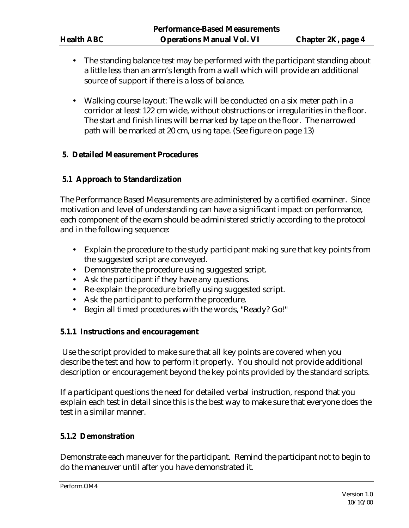- The standing balance test may be performed with the participant standing about a little less than an arm's length from a wall which will provide an additional source of support if there is a loss of balance.
- Walking course layout: The walk will be conducted on a six meter path in a corridor at least 122 cm wide, without obstructions or irregularities in the floor. The start and finish lines will be marked by tape on the floor. The narrowed path will be marked at 20 cm, using tape. (See figure on page 13)

## **5. Detailed Measurement Procedures**

## **5.1 Approach to Standardization**

The Performance Based Measurements are administered by a certified examiner. Since motivation and level of understanding can have a significant impact on performance, each component of the exam should be administered strictly according to the protocol and in the following sequence:

- Explain the procedure to the study participant making sure that key points from the suggested script are conveyed.
- Demonstrate the procedure using suggested script.
- Ask the participant if they have any questions.
- Re-explain the procedure briefly using suggested script.
- Ask the participant to perform the procedure.
- Begin all timed procedures with the words, "Ready? Go!"

## **5.1.1 Instructions and encouragement**

 Use the script provided to make sure that all key points are covered when you describe the test and how to perform it properly. You should not provide additional description or encouragement beyond the key points provided by the standard scripts.

If a participant questions the need for detailed verbal instruction, respond that you explain each test in detail since this is the best way to make sure that everyone does the test in a similar manner.

## **5.1.2 Demonstration**

Demonstrate each maneuver for the participant. Remind the participant not to begin to do the maneuver until after you have demonstrated it.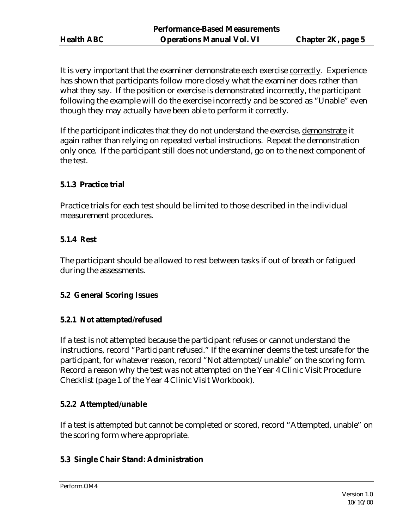It is very important that the examiner demonstrate each exercise correctly. Experience has shown that participants follow more closely what the examiner does rather than what they say. If the position or exercise is demonstrated incorrectly, the participant following the example will do the exercise incorrectly and be scored as "Unable" even though they may actually have been able to perform it correctly.

If the participant indicates that they do not understand the exercise, demonstrate it again rather than relying on repeated verbal instructions. Repeat the demonstration only once. If the participant still does not understand, go on to the next component of the test.

## **5.1.3 Practice trial**

Practice trials for each test should be limited to those described in the individual measurement procedures.

#### **5.1.4 Rest**

The participant should be allowed to rest between tasks if out of breath or fatigued during the assessments.

## **5.2 General Scoring Issues**

## **5.2.1 Not attempted/refused**

If a test is not attempted because the participant refuses or cannot understand the instructions, record "Participant refused." If the examiner deems the test unsafe for the participant, for whatever reason, record "Not attempted/unable" on the scoring form. Record a reason why the test was not attempted on the Year 4 Clinic Visit Procedure Checklist (page 1 of the Year 4 Clinic Visit Workbook).

## **5.2.2 Attempted/unable**

If a test is attempted but cannot be completed or scored, record "Attempted, unable" on the scoring form where appropriate.

#### **5.3 Single Chair Stand: Administration**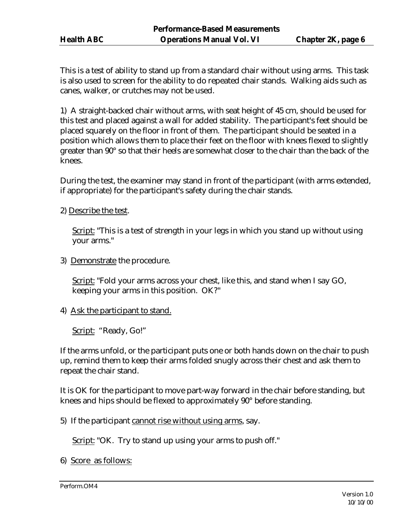This is a test of ability to stand up from a standard chair without using arms. This task is also used to screen for the ability to do repeated chair stands. Walking aids such as canes, walker, or crutches may not be used.

1) A straight-backed chair without arms, with seat height of 45 cm, should be used for this test and placed against a wall for added stability. The participant's feet should be placed squarely on the floor in front of them. The participant should be seated in a position which allows them to place their feet on the floor with knees flexed to slightly greater than 90° so that their heels are somewhat closer to the chair than the back of the knees.

During the test, the examiner may stand in front of the participant (with arms extended, if appropriate) for the participant's safety during the chair stands.

2) Describe the test.

Script: "This is a test of strength in your legs in which you stand up without using your arms."

3) Demonstrate the procedure.

Script: "Fold your arms across your chest, like this, and stand when I say GO, keeping your arms in this position. OK?"

4) Ask the participant to stand.

Script: "Ready, Go!"

If the arms unfold, or the participant puts one or both hands down on the chair to push up, remind them to keep their arms folded snugly across their chest and ask them to repeat the chair stand.

It is OK for the participant to move part-way forward in the chair before standing, but knees and hips should be flexed to approximately 90° before standing.

5) If the participant cannot rise without using arms, say.

Script: "OK. Try to stand up using your arms to push off."

6) Score as follows: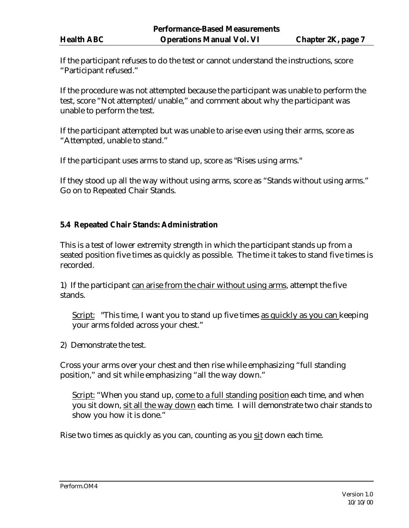If the participant refuses to do the test or cannot understand the instructions, score "Participant refused."

If the procedure was not attempted because the participant was unable to perform the test, score "Not attempted/unable," and comment about why the participant was unable to perform the test.

If the participant attempted but was unable to arise even using their arms, score as "Attempted, unable to stand."

If the participant uses arms to stand up, score as "Rises using arms."

If they stood up all the way without using arms, score as "Stands without using arms." Go on to Repeated Chair Stands.

#### **5.4 Repeated Chair Stands: Administration**

This is a test of lower extremity strength in which the participant stands up from a seated position five times as quickly as possible. The time it takes to stand five times is recorded.

1) If the participant can arise from the chair without using arms, attempt the five stands.

Script: "This time, I want you to stand up five times as quickly as you can keeping your arms folded across your chest."

2) Demonstrate the test.

Cross your arms over your chest and then rise while emphasizing "full standing position," and sit while emphasizing "all the way down."

Script: "When you stand up, come to a full standing position each time, and when you sit down, sit all the way down each time. I will demonstrate two chair stands to show you how it is done."

Rise two times as quickly as you can, counting as you sit down each time.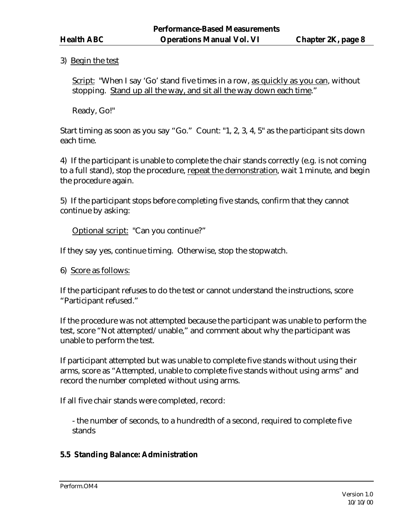## 3) Begin the test

Script: "When I say 'Go' stand five times in a row, as quickly as you can, without stopping. Stand up all the way, and sit all the way down each time."

Ready, Go!"

Start timing as soon as you say "Go." Count: "1, 2, 3, 4, 5" as the participant sits down each time.

4) If the participant is unable to complete the chair stands correctly (e.g. is not coming to a full stand), stop the procedure, repeat the demonstration, wait 1 minute, and begin the procedure again.

5) If the participant stops before completing five stands, confirm that they cannot continue by asking:

Optional script: "Can you continue?"

If they say yes, continue timing. Otherwise, stop the stopwatch.

If the participant refuses to do the test or cannot understand the instructions, score "Participant refused."

If the procedure was not attempted because the participant was unable to perform the test, score "Not attempted/unable," and comment about why the participant was unable to perform the test.

If participant attempted but was unable to complete five stands without using their arms, score as "Attempted, unable to complete five stands without using arms" and record the number completed without using arms.

If all five chair stands were completed, record:

- the number of seconds, to a hundredth of a second, required to complete five stands

#### **5.5 Standing Balance: Administration**

<sup>6)</sup> Score as follows: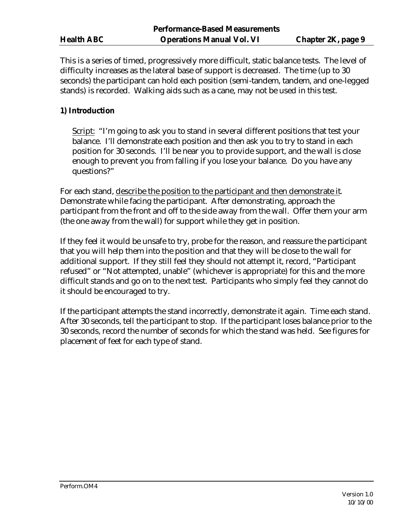This is a series of timed, progressively more difficult, static balance tests. The level of difficulty increases as the lateral base of support is decreased. The time (up to 30 seconds) the participant can hold each position (semi-tandem, tandem, and one-legged stands) is recorded. Walking aids such as a cane, may not be used in this test.

## **1) Introduction**

Script: "I'm going to ask you to stand in several different positions that test your balance. I'll demonstrate each position and then ask you to try to stand in each position for 30 seconds. I'll be near you to provide support, and the wall is close enough to prevent you from falling if you lose your balance. Do you have any questions?"

For each stand, describe the position to the participant and then demonstrate it. Demonstrate while facing the participant. After demonstrating, approach the participant from the front and off to the side away from the wall. Offer them your arm (the one away from the wall) for support while they get in position.

If they feel it would be unsafe to try, probe for the reason, and reassure the participant that you will help them into the position and that they will be close to the wall for additional support. If they still feel they should not attempt it, record, "Participant refused" or "Not attempted, unable" (whichever is appropriate) for this and the more difficult stands and go on to the next test. Participants who simply feel they cannot do it should be encouraged to try.

If the participant attempts the stand incorrectly, demonstrate it again. Time each stand. After 30 seconds, tell the participant to stop. If the participant loses balance prior to the 30 seconds, record the number of seconds for which the stand was held. See figures for placement of feet for each type of stand.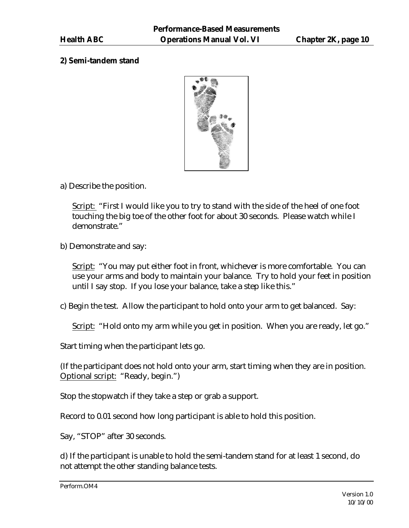## **2) Semi-tandem stand**



a) Describe the position.

Script: "First I would like you to try to stand with the side of the heel of one foot touching the big toe of the other foot for about 30 seconds. Please watch while I demonstrate."

b) Demonstrate and say:

Script: "You may put either foot in front, whichever is more comfortable. You can use your arms and body to maintain your balance. Try to hold your feet in position until I say stop. If you lose your balance, take a step like this."

c) Begin the test. Allow the participant to hold onto your arm to get balanced. Say:

Script: "Hold onto my arm while you get in position. When you are ready, let go."

Start timing when the participant lets go.

(If the participant does not hold onto your arm, start timing when they are in position. Optional script: "Ready, begin.")

Stop the stopwatch if they take a step or grab a support.

Record to 0.01 second how long participant is able to hold this position.

Say, "STOP" after 30 seconds.

d) If the participant is unable to hold the semi-tandem stand for at least 1 second, do not attempt the other standing balance tests.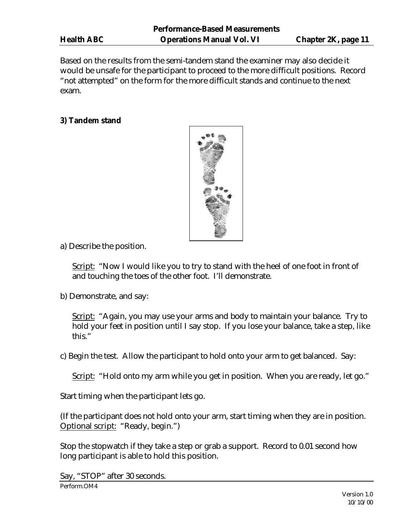Based on the results from the semi-tandem stand the examiner may also decide it would be unsafe for the participant to proceed to the more difficult positions. Record "not attempted" on the form for the more difficult stands and continue to the next exam.

## **3) Tandem stand**



a) Describe the position.

Script: "Now I would like you to try to stand with the heel of one foot in front of and touching the toes of the other foot. I'll demonstrate.

b) Demonstrate, and say:

Script: "Again, you may use your arms and body to maintain your balance. Try to hold your feet in position until I say stop. If you lose your balance, take a step, like this."

c) Begin the test. Allow the participant to hold onto your arm to get balanced. Say:

Script: "Hold onto my arm while you get in position. When you are ready, let go."

Start timing when the participant lets go.

(If the participant does not hold onto your arm, start timing when they are in position. Optional script: "Ready, begin.")

Stop the stopwatch if they take a step or grab a support. Record to 0.01 second how long participant is able to hold this position.

Say, "STOP" after 30 seconds.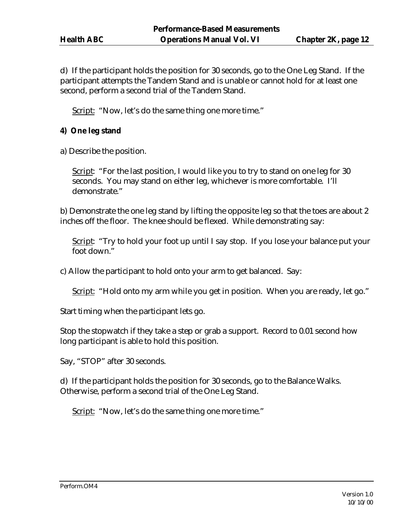d) If the participant holds the position for 30 seconds, go to the One Leg Stand. If the participant attempts the Tandem Stand and is unable or cannot hold for at least one second, perform a second trial of the Tandem Stand.

Script: "Now, let's do the same thing one more time."

## **4) One leg stand**

a) Describe the position.

Script: "For the last position, I would like you to try to stand on one leg for 30 seconds. You may stand on either leg, whichever is more comfortable. I'll demonstrate."

b) Demonstrate the one leg stand by lifting the opposite leg so that the toes are about 2 inches off the floor. The knee should be flexed. While demonstrating say:

Script: "Try to hold your foot up until I say stop. If you lose your balance put your foot down."

c) Allow the participant to hold onto your arm to get balanced. Say:

Script: "Hold onto my arm while you get in position. When you are ready, let go."

Start timing when the participant lets go.

Stop the stopwatch if they take a step or grab a support. Record to 0.01 second how long participant is able to hold this position.

Say, "STOP" after 30 seconds.

d) If the participant holds the position for 30 seconds, go to the Balance Walks. Otherwise, perform a second trial of the One Leg Stand.

Script: "Now, let's do the same thing one more time."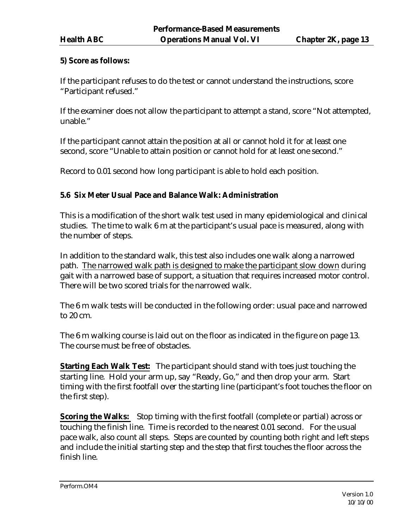## **5) Score as follows:**

If the participant refuses to do the test or cannot understand the instructions, score "Participant refused."

If the examiner does not allow the participant to attempt a stand, score "Not attempted, unable."

If the participant cannot attain the position at all or cannot hold it for at least one second, score "Unable to attain position or cannot hold for at least one second."

Record to 0.01 second how long participant is able to hold each position.

## **5.6 Six Meter Usual Pace and Balance Walk: Administration**

This is a modification of the short walk test used in many epidemiological and clinical studies. The time to walk 6 m at the participant's usual pace is measured, along with the number of steps.

In addition to the standard walk, this test also includes one walk along a narrowed path. The narrowed walk path is designed to make the participant slow down during gait with a narrowed base of support, a situation that requires increased motor control. There will be two scored trials for the narrowed walk.

The 6 m walk tests will be conducted in the following order: usual pace and narrowed to 20 cm.

The 6 m walking course is laid out on the floor as indicated in the figure on page 13. The course must be free of obstacles.

**Starting Each Walk Test:** The participant should stand with toes just touching the starting line. Hold your arm up, say "Ready, Go," and then drop your arm. Start timing with the first footfall over the starting line (participant's foot touches the floor on the first step).

**Scoring the Walks:** Stop timing with the first footfall (complete or partial) across or touching the finish line. Time is recorded to the nearest 0.01 second. For the usual pace walk, also count all steps. Steps are counted by counting both right and left steps and include the initial starting step and the step that first touches the floor across the finish line.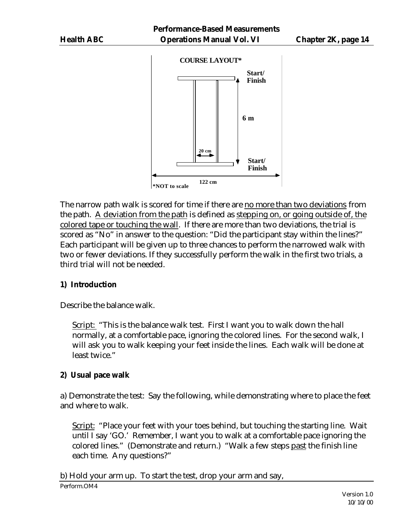

The narrow path walk is scored for time if there are no more than two deviations from the path. A deviation from the path is defined as stepping on, or going outside of, the colored tape or touching the wall. If there are more than two deviations, the trial is scored as "No" in answer to the question: "Did the participant stay within the lines?" Each participant will be given up to three chances to perform the narrowed walk with two or fewer deviations. If they successfully perform the walk in the first two trials, a third trial will not be needed.

## **1) Introduction**

Describe the balance walk.

Script: "This is the balance walk test. First I want you to walk down the hall normally, at a comfortable pace, ignoring the colored lines. For the second walk, I will ask you to walk keeping your feet inside the lines. Each walk will be done at least twice."

## **2) Usual pace walk**

a) Demonstrate the test: Say the following, while demonstrating where to place the feet and where to walk.

Script: "Place your feet with your toes behind, but touching the starting line. Wait until I say 'GO.' Remember, I want you to walk at a comfortable pace ignoring the colored lines." (Demonstrate and return.) "Walk a few steps past the finish line each time. Any questions?"

b) Hold your arm up. To start the test, drop your arm and say,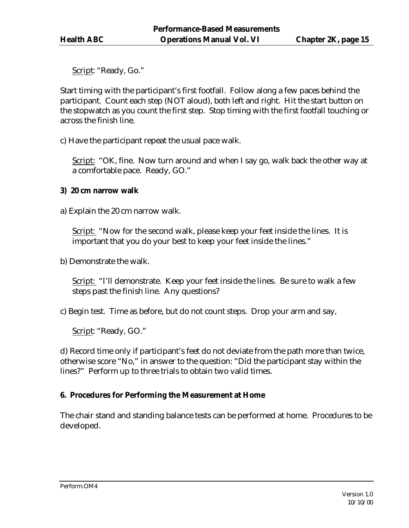Script: "Ready, Go."

Start timing with the participant's first footfall. Follow along a few paces behind the participant. Count each step (NOT aloud), both left and right. Hit the start button on the stopwatch as you count the first step. Stop timing with the first footfall touching or across the finish line.

c) Have the participant repeat the usual pace walk.

Script: "OK, fine. Now turn around and when I say go, walk back the other way at a comfortable pace. Ready, GO."

#### **3) 20 cm narrow walk**

a) Explain the 20 cm narrow walk.

Script: "Now for the second walk, please keep your feet inside the lines. It is important that you do your best to keep your feet inside the lines."

b) Demonstrate the walk.

Script: "I'll demonstrate. Keep your feet inside the lines. Be sure to walk a few steps past the finish line. Any questions?

c) Begin test. Time as before, but do not count steps. Drop your arm and say,

Script: "Ready, GO."

d) Record time only if participant's feet do not deviate from the path more than twice, otherwise score "No," in answer to the question: "Did the participant stay within the lines?" Perform up to three trials to obtain two valid times.

## **6. Procedures for Performing the Measurement at Home**

The chair stand and standing balance tests can be performed at home. Procedures to be developed.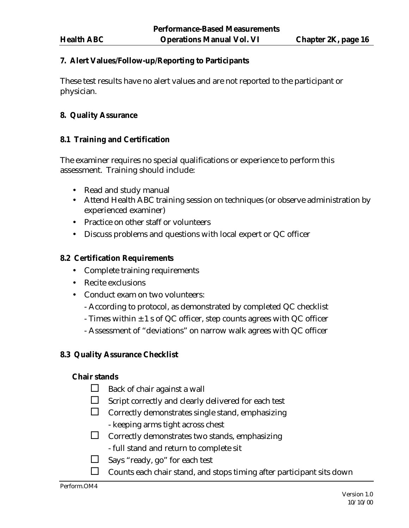#### **7. Alert Values/Follow-up/Reporting to Participants**

These test results have no alert values and are not reported to the participant or physician.

#### **8. Quality Assurance**

#### **8.1 Training and Certification**

The examiner requires no special qualifications or experience to perform this assessment. Training should include:

- Read and study manual
- Attend Health ABC training session on techniques (or observe administration by experienced examiner)
- Practice on other staff or volunteers
- Discuss problems and questions with local expert or QC officer

#### **8.2 Certification Requirements**

- Complete training requirements
- Recite exclusions
- Conduct exam on two volunteers:
	- According to protocol, as demonstrated by completed QC checklist
	- Times within  $\pm 1$  s of QC officer, step counts agrees with QC officer
	- Assessment of "deviations" on narrow walk agrees with QC officer

#### **8.3 Quality Assurance Checklist**

#### **Chair stands**

- $\Box$  Back of chair against a wall
- $\Box$  Script correctly and clearly delivered for each test
- $\Box$  Correctly demonstrates single stand, emphasizing
	- keeping arms tight across chest
- $\square$  Correctly demonstrates two stands, emphasizing
	- full stand and return to complete sit
- $\Box$  Says "ready, go" for each test
- $\Box$  Counts each chair stand, and stops timing after participant sits down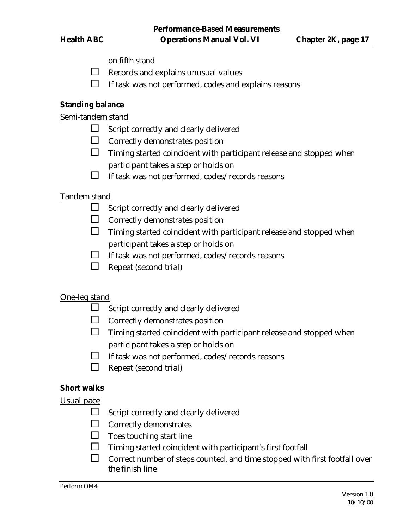- on fifth stand
- $\Box$  Records and explains unusual values
- $\Box$  If task was not performed, codes and explains reasons

#### **Standing balance**

Semi-tandem stand

- $\Box$  Script correctly and clearly delivered
- $\Box$  Correctly demonstrates position
- $\Box$  Timing started coincident with participant release and stopped when participant takes a step or holds on
- $\Box$  If task was not performed, codes/records reasons

#### Tandem stand

- $\Box$  Script correctly and clearly delivered
- $\Box$  Correctly demonstrates position
- $\Box$  Timing started coincident with participant release and stopped when participant takes a step or holds on
- $\Box$  If task was not performed, codes/records reasons
- $\Box$  Repeat (second trial)

## One-leg stand

- $\Box$  Script correctly and clearly delivered
- $\Box$  Correctly demonstrates position
- $\Box$  Timing started coincident with participant release and stopped when participant takes a step or holds on
- $\Box$  If task was not performed, codes/records reasons
- $\Box$  Repeat (second trial)

#### **Short walks**

#### Usual pace

- $\Box$  Script correctly and clearly delivered
- $\Box$  Correctly demonstrates
- $\Box$  Toes touching start line
- $\Box$  Timing started coincident with participant's first footfall
- $\Box$  Correct number of steps counted, and time stopped with first footfall over the finish line